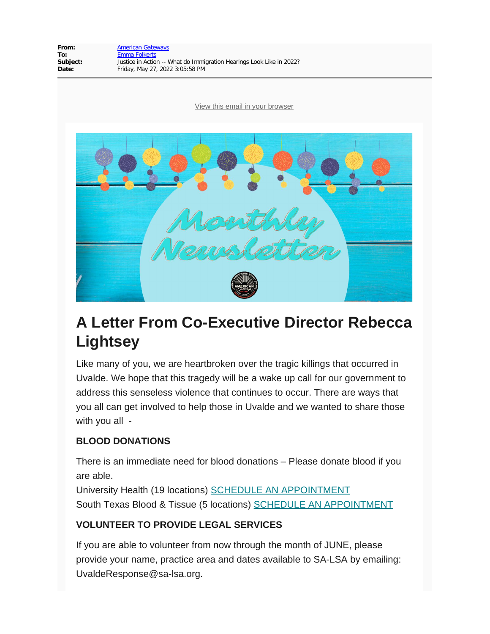

# **A Letter From Co-Executive Director Rebecca Lightsey**

Like many of you, we are heartbroken over the tragic killings that occurred in Uvalde. We hope that this tragedy will be a wake up call for our government to address this senseless violence that continues to occur. There are ways that you all can get involved to help those in Uvalde and we wanted to share those with you all -

#### **BLOOD DONATIONS**

There is an immediate need for blood donations – Please donate blood if you are able.

University Health (19 locations) [SCHEDULE AN APPOINTMENT](https://americangateways.us14.list-manage.com/track/click?u=cf487fca9b5a0fb3135b13008&id=6b5cc112d9&e=0d6a816503) South Texas Blood & Tissue (5 locations) [SCHEDULE AN APPOINTMENT](https://americangateways.us14.list-manage.com/track/click?u=cf487fca9b5a0fb3135b13008&id=03f178364d&e=0d6a816503)

#### **VOLUNTEER TO PROVIDE LEGAL SERVICES**

If you are able to volunteer from now through the month of JUNE, please provide your name, practice area and dates available to SA-LSA by emailing: UvaldeResponse@sa-lsa.org.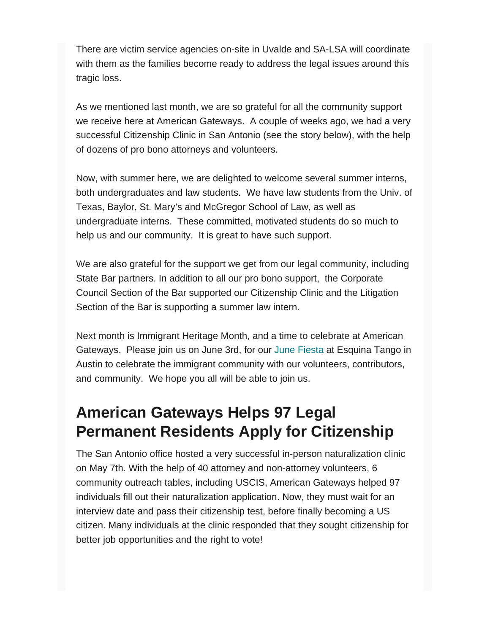There are victim service agencies on-site in Uvalde and SA-LSA will coordinate with them as the families become ready to address the legal issues around this tragic loss.

As we mentioned last month, we are so grateful for all the community support we receive here at American Gateways. A couple of weeks ago, we had a very successful Citizenship Clinic in San Antonio (see the story below), with the help of dozens of pro bono attorneys and volunteers.

Now, with summer here, we are delighted to welcome several summer interns, both undergraduates and law students. We have law students from the Univ. of Texas, Baylor, St. Mary's and McGregor School of Law, as well as undergraduate interns. These committed, motivated students do so much to help us and our community. It is great to have such support.

We are also grateful for the support we get from our legal community, including State Bar partners. In addition to all our pro bono support, the Corporate Council Section of the Bar supported our Citizenship Clinic and the Litigation Section of the Bar is supporting a summer law intern.

Next month is Immigrant Heritage Month, and a time to celebrate at American Gateways. Please join us on June 3rd, for our [June Fiesta](https://americangateways.us14.list-manage.com/track/click?u=cf487fca9b5a0fb3135b13008&id=ce722fb6d3&e=0d6a816503) at Esquina Tango in Austin to celebrate the immigrant community with our volunteers, contributors, and community. We hope you all will be able to join us.

# **American Gateways Helps 97 Legal Permanent Residents Apply for Citizenship**

The San Antonio office hosted a very successful in-person naturalization clinic on May 7th. With the help of 40 attorney and non-attorney volunteers, 6 community outreach tables, including USCIS, American Gateways helped 97 individuals fill out their naturalization application. Now, they must wait for an interview date and pass their citizenship test, before finally becoming a US citizen. Many individuals at the clinic responded that they sought citizenship for better job opportunities and the right to vote!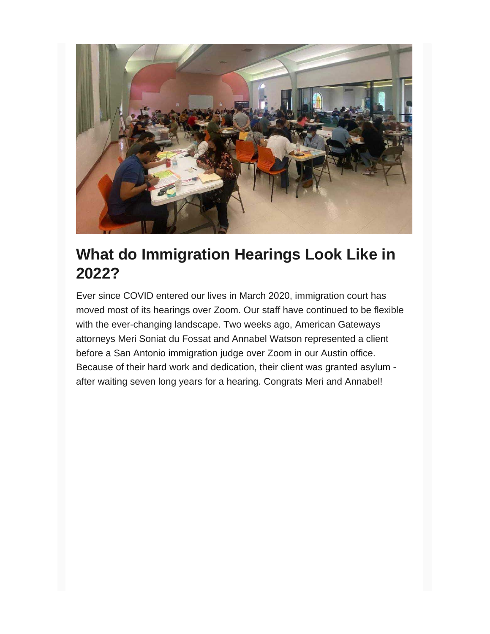

### **What do Immigration Hearings Look Like in 2022?**

Ever since COVID entered our lives in March 2020, immigration court has moved most of its hearings over Zoom. Our staff have continued to be flexible with the ever-changing landscape. Two weeks ago, American Gateways attorneys Meri Soniat du Fossat and Annabel Watson represented a client before a San Antonio immigration judge over Zoom in our Austin office. Because of their hard work and dedication, their client was granted asylum after waiting seven long years for a hearing. Congrats Meri and Annabel!